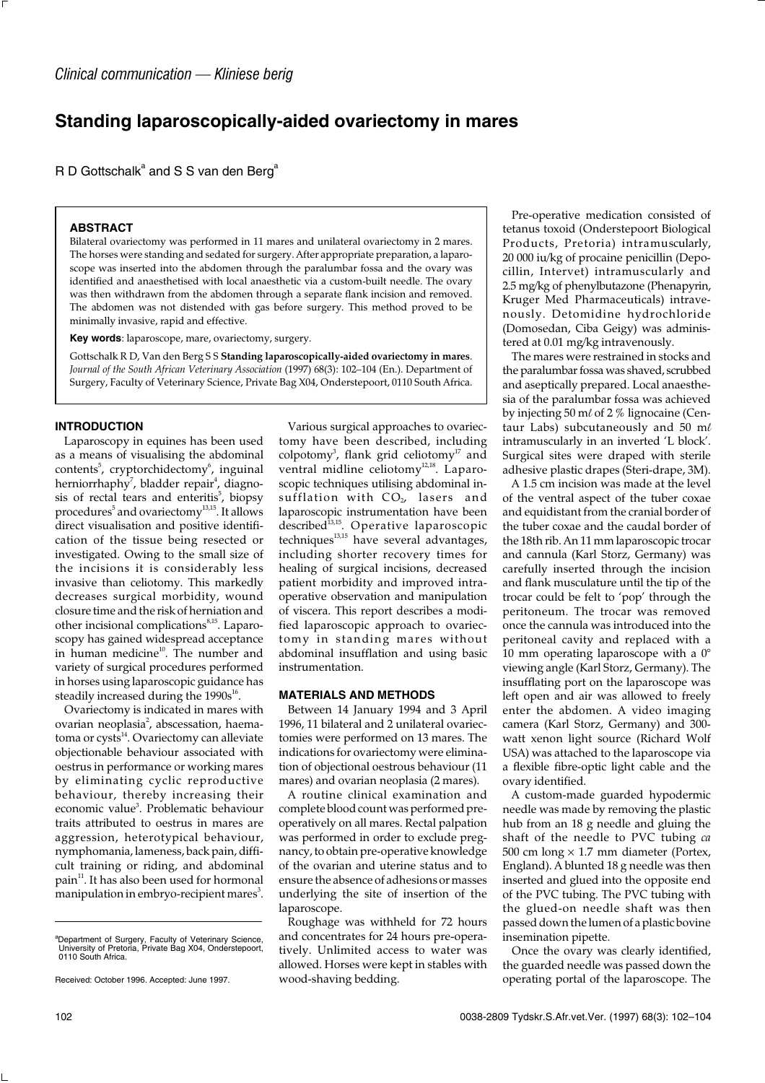# **Standing laparoscopically-aided ovariectomy in mares**

R D Gottschalk<sup>a</sup> and S S van den Berg<sup>a</sup>

### **ABSTRACT**

Bilateral ovariectomy was performed in 11 mares and unilateral ovariectomy in 2 mares. The horses were standing and sedated for surgery. After appropriate preparation, a laparoscope was inserted into the abdomen through the paralumbar fossa and the ovary was identified and anaesthetised with local anaesthetic via a custom-built needle. The ovary was then withdrawn from the abdomen through a separate flank incision and removed. The abdomen was not distended with gas before surgery. This method proved to be minimally invasive, rapid and effective.

**Key words**: laparoscope, mare, ovariectomy, surgery.

Gottschalk R D, Van den Berg S S **Standing laparoscopically-aided ovariectomy in mares**. *Journal of the South African Veterinary Association* (1997) 68(3): 102–104 (En.). Department of Surgery, Faculty of Veterinary Science, Private Bag X04, Onderstepoort, 0110 South Africa.

### **INTRODUCTION**

Laparoscopy in equines has been used as a means of visualising the abdominal contents<sup>5</sup>, cryptorchidectomy<sup>6</sup>, inguinal herniorrhaphy<sup>7</sup>, bladder repair<sup>4</sup>, diagnosis of rectal tears and enteritis<sup>5</sup>, biopsy procedures<sup>5</sup> and ovariectomy<sup>13,15</sup>. It allows direct visualisation and positive identification of the tissue being resected or investigated. Owing to the small size of the incisions it is considerably less invasive than celiotomy. This markedly decreases surgical morbidity, wound closure time and the risk of herniation and other incisional complications<sup>8,15</sup>. Laparoscopy has gained widespread acceptance in human medicine<sup>10</sup>. The number and variety of surgical procedures performed in horses using laparoscopic guidance has steadily increased during the 1990s<sup>16</sup>.

Ovariectomy is indicated in mares with ovarian neoplasia<sup>2</sup>, abscessation, haematoma or cysts<sup>14</sup>. Ovariectomy can alleviate objectionable behaviour associated with oestrus in performance or working mares by eliminating cyclic reproductive behaviour, thereby increasing their economic value<sup>3</sup>. Problematic behaviour traits attributed to oestrus in mares are aggression, heterotypical behaviour, nymphomania, lameness, back pain, difficult training or riding, and abdominal pain<sup>11</sup>. It has also been used for hormonal manipulation in embryo-recipient mares<sup>3</sup>.

Various surgical approaches to ovariectomy have been described, including colpotomy<sup>3</sup>, flank grid celiotomy<sup>17</sup> and ventral midline celiotomy<sup>12,18</sup>. Laparoscopic techniques utilising abdominal insufflation with  $CO<sub>2</sub>$ , lasers and laparoscopic instrumentation have been described<sup>13,15</sup>. Operative laparoscopic techniques<sup>13,15</sup> have several advantages, including shorter recovery times for healing of surgical incisions, decreased patient morbidity and improved intraoperative observation and manipulation of viscera. This report describes a modified laparoscopic approach to ovariectomy in standing mares without abdominal insufflation and using basic instrumentation.

## **MATERIALS AND METHODS**

Between 14 January 1994 and 3 April 1996, 11 bilateral and 2 unilateral ovariectomies were performed on 13 mares. The indications for ovariectomy were elimination of objectional oestrous behaviour (11 mares) and ovarian neoplasia (2 mares).

A routine clinical examination and complete blood count was performed preoperatively on all mares. Rectal palpation was performed in order to exclude pregnancy, to obtain pre-operative knowledge of the ovarian and uterine status and to ensure the absence of adhesions or masses underlying the site of insertion of the laparoscope.

Roughage was withheld for 72 hours and concentrates for 24 hours pre-operatively. Unlimited access to water was allowed. Horses were kept in stables with wood-shaving bedding.

Pre-operative medication consisted of tetanus toxoid (Onderstepoort Biological Products, Pretoria) intramuscularly, 20 000 iu/kg of procaine penicillin (Depocillin, Intervet) intramuscularly and 2.5 mg/kg of phenylbutazone (Phenapyrin, Kruger Med Pharmaceuticals) intravenously. Detomidine hydrochloride (Domosedan, Ciba Geigy) was administered at 0.01 mg/kg intravenously.

The mares were restrained in stocks and the paralumbar fossa was shaved, scrubbed and aseptically prepared. Local anaesthesia of the paralumbar fossa was achieved by injecting 50 m*l* of 2 % lignocaine (Centaur Labs) subcutaneously and 50 m*l* intramuscularly in an inverted 'L block'. Surgical sites were draped with sterile adhesive plastic drapes (Steri-drape, 3M).

A 1.5 cm incision was made at the level of the ventral aspect of the tuber coxae and equidistant from the cranial border of the tuber coxae and the caudal border of the 18th rib. An 11 mm laparoscopic trocar and cannula (Karl Storz, Germany) was carefully inserted through the incision and flank musculature until the tip of the trocar could be felt to 'pop' through the peritoneum. The trocar was removed once the cannula was introduced into the peritoneal cavity and replaced with a 10 mm operating laparoscope with a 0° viewing angle (Karl Storz, Germany). The insufflating port on the laparoscope was left open and air was allowed to freely enter the abdomen. A video imaging camera (Karl Storz, Germany) and 300 watt xenon light source (Richard Wolf USA) was attached to the laparoscope via a flexible fibre-optic light cable and the ovary identified.

A custom-made guarded hypodermic needle was made by removing the plastic hub from an 18 g needle and gluing the shaft of the needle to PVC tubing *ca* 500 cm long  $\times$  1.7 mm diameter (Portex, England). A blunted 18 g needle was then inserted and glued into the opposite end of the PVC tubing. The PVC tubing with the glued-on needle shaft was then passed down the lumen of a plastic bovine insemination pipette.

Once the ovary was clearly identified, the guarded needle was passed down the operating portal of the laparoscope. The

a Department of Surgery, Faculty of Veterinary Science, University of Pretoria, Private Bag X04, Onderstepoort, 0110 South Africa.

Received: October 1996. Accepted: June 1997.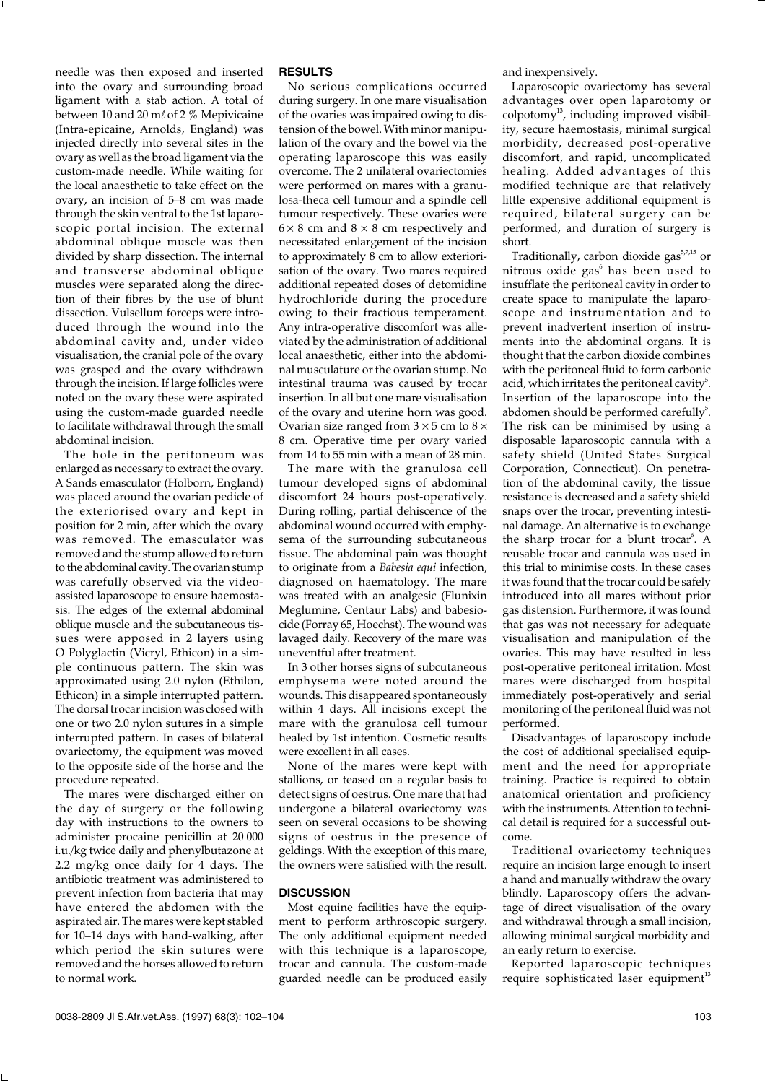needle was then exposed and inserted into the ovary and surrounding broad ligament with a stab action. A total of between 10 and 20 m*l* of 2 % Mepivicaine (Intra-epicaine, Arnolds, England) was injected directly into several sites in the ovary as well as the broad ligament via the custom-made needle. While waiting for the local anaesthetic to take effect on the ovary, an incision of 5–8 cm was made through the skin ventral to the 1st laparoscopic portal incision. The external abdominal oblique muscle was then divided by sharp dissection. The internal and transverse abdominal oblique muscles were separated along the direction of their fibres by the use of blunt dissection. Vulsellum forceps were introduced through the wound into the abdominal cavity and, under video visualisation, the cranial pole of the ovary was grasped and the ovary withdrawn through the incision. If large follicles were noted on the ovary these were aspirated using the custom-made guarded needle to facilitate withdrawal through the small abdominal incision.

The hole in the peritoneum was enlarged as necessary to extract the ovary. A Sands emasculator (Holborn, England) was placed around the ovarian pedicle of the exteriorised ovary and kept in position for 2 min, after which the ovary was removed. The emasculator was removed and the stump allowed to return to the abdominal cavity. The ovarian stump was carefully observed via the videoassisted laparoscope to ensure haemostasis. The edges of the external abdominal oblique muscle and the subcutaneous tissues were apposed in 2 layers using O Polyglactin (Vicryl, Ethicon) in a simple continuous pattern. The skin was approximated using 2.0 nylon (Ethilon, Ethicon) in a simple interrupted pattern. The dorsal trocar incision was closed with one or two 2.0 nylon sutures in a simple interrupted pattern. In cases of bilateral ovariectomy, the equipment was moved to the opposite side of the horse and the procedure repeated.

The mares were discharged either on the day of surgery or the following day with instructions to the owners to administer procaine penicillin at 20 000 i.u./kg twice daily and phenylbutazone at 2.2 mg/kg once daily for 4 days. The antibiotic treatment was administered to prevent infection from bacteria that may have entered the abdomen with the aspirated air. The mares were kept stabled for 10–14 days with hand-walking, after which period the skin sutures were removed and the horses allowed to return to normal work.

#### **RESULTS**

No serious complications occurred during surgery. In one mare visualisation of the ovaries was impaired owing to distension of the bowel. With minor manipulation of the ovary and the bowel via the operating laparoscope this was easily overcome. The 2 unilateral ovariectomies were performed on mares with a granulosa-theca cell tumour and a spindle cell tumour respectively. These ovaries were  $6 \times 8$  cm and  $8 \times 8$  cm respectively and necessitated enlargement of the incision to approximately 8 cm to allow exteriorisation of the ovary. Two mares required additional repeated doses of detomidine hydrochloride during the procedure owing to their fractious temperament. Any intra-operative discomfort was alleviated by the administration of additional local anaesthetic, either into the abdominal musculature or the ovarian stump. No intestinal trauma was caused by trocar insertion. In all but one mare visualisation of the ovary and uterine horn was good. Ovarian size ranged from  $3 \times 5$  cm to  $8 \times$ 8 cm. Operative time per ovary varied from 14 to 55 min with a mean of 28 min.

The mare with the granulosa cell tumour developed signs of abdominal discomfort 24 hours post-operatively. During rolling, partial dehiscence of the abdominal wound occurred with emphysema of the surrounding subcutaneous tissue. The abdominal pain was thought to originate from a *Babesia equi* infection, diagnosed on haematology. The mare was treated with an analgesic (Flunixin Meglumine, Centaur Labs) and babesiocide (Forray 65, Hoechst). The wound was lavaged daily. Recovery of the mare was uneventful after treatment.

In 3 other horses signs of subcutaneous emphysema were noted around the wounds. This disappeared spontaneously within 4 days. All incisions except the mare with the granulosa cell tumour healed by 1st intention. Cosmetic results were excellent in all cases.

None of the mares were kept with stallions, or teased on a regular basis to detect signs of oestrus. One mare that had undergone a bilateral ovariectomy was seen on several occasions to be showing signs of oestrus in the presence of geldings. With the exception of this mare, the owners were satisfied with the result.

## **DISCUSSION**

Most equine facilities have the equipment to perform arthroscopic surgery. The only additional equipment needed with this technique is a laparoscope, trocar and cannula. The custom-made guarded needle can be produced easily

and inexpensively.

Laparoscopic ovariectomy has several advantages over open laparotomy or  $\overrightarrow{c}$ colpotomy<sup>13</sup>, including improved visibility, secure haemostasis, minimal surgical morbidity, decreased post-operative discomfort, and rapid, uncomplicated healing. Added advantages of this modified technique are that relatively little expensive additional equipment is required, bilateral surgery can be performed, and duration of surgery is short.

Traditionally, carbon dioxide gas $57,15$  or nitrous oxide gas $^6$  has been used to insufflate the peritoneal cavity in order to create space to manipulate the laparoscope and instrumentation and to prevent inadvertent insertion of instruments into the abdominal organs. It is thought that the carbon dioxide combines with the peritoneal fluid to form carbonic acid, which irritates the peritoneal cavity<sup>5</sup>. Insertion of the laparoscope into the abdomen should be performed carefully<sup>5</sup>. The risk can be minimised by using a disposable laparoscopic cannula with a safety shield (United States Surgical Corporation, Connecticut). On penetration of the abdominal cavity, the tissue resistance is decreased and a safety shield snaps over the trocar, preventing intestinal damage. An alternative is to exchange the sharp trocar for a blunt trocar<sup>6</sup>. A reusable trocar and cannula was used in this trial to minimise costs. In these cases it was found that the trocar could be safely introduced into all mares without prior gas distension. Furthermore, it was found that gas was not necessary for adequate visualisation and manipulation of the ovaries. This may have resulted in less post-operative peritoneal irritation. Most mares were discharged from hospital immediately post-operatively and serial monitoring of the peritoneal fluid was not performed.

Disadvantages of laparoscopy include the cost of additional specialised equipment and the need for appropriate training. Practice is required to obtain anatomical orientation and proficiency with the instruments. Attention to technical detail is required for a successful outcome.

Traditional ovariectomy techniques require an incision large enough to insert a hand and manually withdraw the ovary blindly. Laparoscopy offers the advantage of direct visualisation of the ovary and withdrawal through a small incision, allowing minimal surgical morbidity and an early return to exercise.

Reported laparoscopic techniques require sophisticated laser equipment<sup>13</sup>